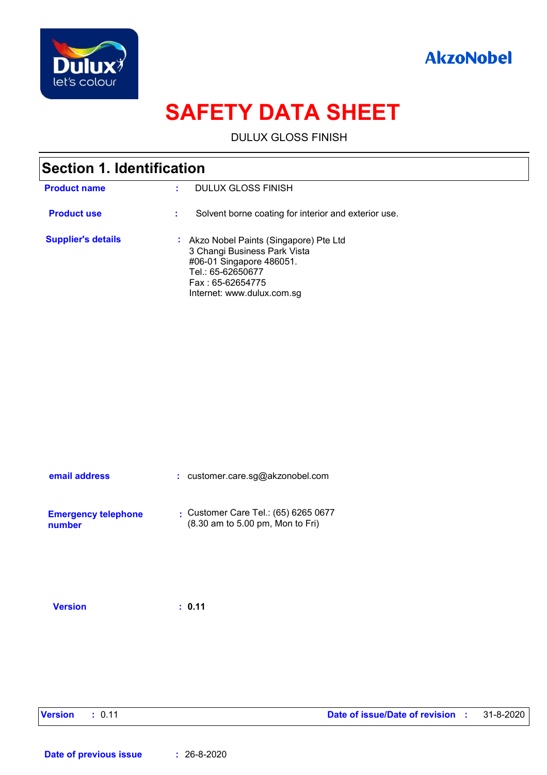



# **SAFETY DATA SHEET**

DULUX GLOSS FINISH

| Section 1. Identification |                                                                                                                                                                            |  |  |
|---------------------------|----------------------------------------------------------------------------------------------------------------------------------------------------------------------------|--|--|
| <b>Product name</b>       | DULUX GLOSS FINISH                                                                                                                                                         |  |  |
| <b>Product use</b>        | Solvent borne coating for interior and exterior use.<br>٠                                                                                                                  |  |  |
| <b>Supplier's details</b> | : Akzo Nobel Paints (Singapore) Pte Ltd<br>3 Changi Business Park Vista<br>#06-01 Singapore 486051.<br>Tel.: 65-62650677<br>Fax: 65-62654775<br>Internet: www.dulux.com.sg |  |  |

| email address                        | : customer.care.sg@akzonobel.com                                                            |
|--------------------------------------|---------------------------------------------------------------------------------------------|
| <b>Emergency telephone</b><br>number | Customer Care Tel.: $(65)$ 6265 0677<br>$(8.30 \text{ am to } 5.00 \text{ pm}$ , Mon to Fri |

**Version : 0.11**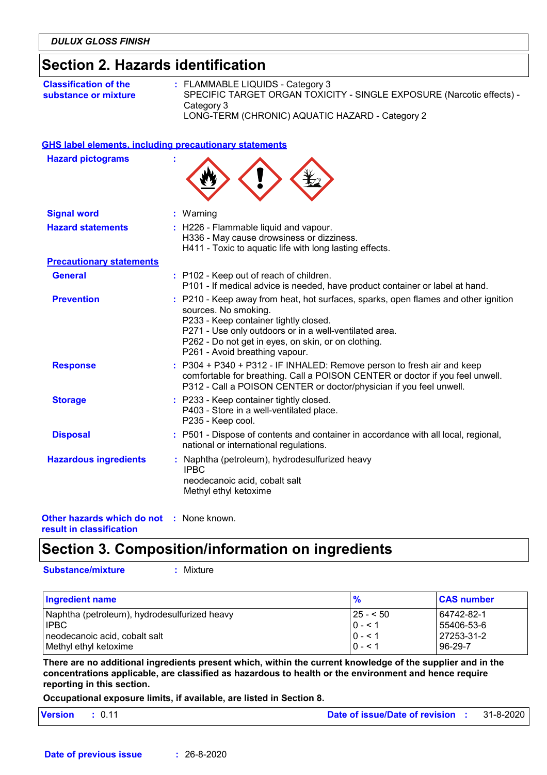### **Section 2. Hazards identification**

| <b>Classification of the</b> | $:$ FLAMMABLE LIQUIDS - Category 3                                    |
|------------------------------|-----------------------------------------------------------------------|
| substance or mixture         | SPECIFIC TARGET ORGAN TOXICITY - SINGLE EXPOSURE (Narcotic effects) - |
|                              | Category 3                                                            |
|                              | LONG-TERM (CHRONIC) AQUATIC HAZARD - Category 2                       |

|  | <b>GHS label elements, including precautionary statements</b> |  |
|--|---------------------------------------------------------------|--|
|  |                                                               |  |

| <b>Hazard pictograms</b>        |                                                                                                                                                                                                                                                                                                        |
|---------------------------------|--------------------------------------------------------------------------------------------------------------------------------------------------------------------------------------------------------------------------------------------------------------------------------------------------------|
| <b>Signal word</b>              | : Warning                                                                                                                                                                                                                                                                                              |
| <b>Hazard statements</b>        | : H226 - Flammable liquid and vapour.<br>H336 - May cause drowsiness or dizziness.<br>H411 - Toxic to aquatic life with long lasting effects.                                                                                                                                                          |
| <b>Precautionary statements</b> |                                                                                                                                                                                                                                                                                                        |
| <b>General</b>                  | : P102 - Keep out of reach of children.<br>P101 - If medical advice is needed, have product container or label at hand.                                                                                                                                                                                |
| <b>Prevention</b>               | : P210 - Keep away from heat, hot surfaces, sparks, open flames and other ignition<br>sources. No smoking.<br>P233 - Keep container tightly closed.<br>P271 - Use only outdoors or in a well-ventilated area.<br>P262 - Do not get in eyes, on skin, or on clothing.<br>P261 - Avoid breathing vapour. |
| <b>Response</b>                 | : P304 + P340 + P312 - IF INHALED: Remove person to fresh air and keep<br>comfortable for breathing. Call a POISON CENTER or doctor if you feel unwell.<br>P312 - Call a POISON CENTER or doctor/physician if you feel unwell.                                                                         |
| <b>Storage</b>                  | : P233 - Keep container tightly closed.<br>P403 - Store in a well-ventilated place.<br>P235 - Keep cool.                                                                                                                                                                                               |
| <b>Disposal</b>                 | : P501 - Dispose of contents and container in accordance with all local, regional,<br>national or international regulations.                                                                                                                                                                           |
| <b>Hazardous ingredients</b>    | : Naphtha (petroleum), hydrodesulfurized heavy<br><b>IPBC</b><br>neodecanoic acid, cobalt salt<br>Methyl ethyl ketoxime                                                                                                                                                                                |



## **Section 3. Composition/information on ingredients**

**Substance/mixture :**

: Mixture

| <b>Ingredient name</b>                       | $\frac{9}{6}$ | <b>CAS number</b> |
|----------------------------------------------|---------------|-------------------|
| Naphtha (petroleum), hydrodesulfurized heavy | $ 25 - 50 $   | 64742-82-1        |
| <b>IPBC</b>                                  | $0 - 1$       | l 55406-53-6      |
| neodecanoic acid, cobalt salt                | $ 0 - 1 $     | l 27253-31-2      |
| Methyl ethyl ketoxime                        | $0 - 1$       | 96-29-7           |

**There are no additional ingredients present which, within the current knowledge of the supplier and in the concentrations applicable, are classified as hazardous to health or the environment and hence require reporting in this section.**

**Occupational exposure limits, if available, are listed in Section 8.**

| Version : 0.11 |  | <b>Date of issue/Date of revision : 31-8-2020</b> |  |  |  |
|----------------|--|---------------------------------------------------|--|--|--|
|----------------|--|---------------------------------------------------|--|--|--|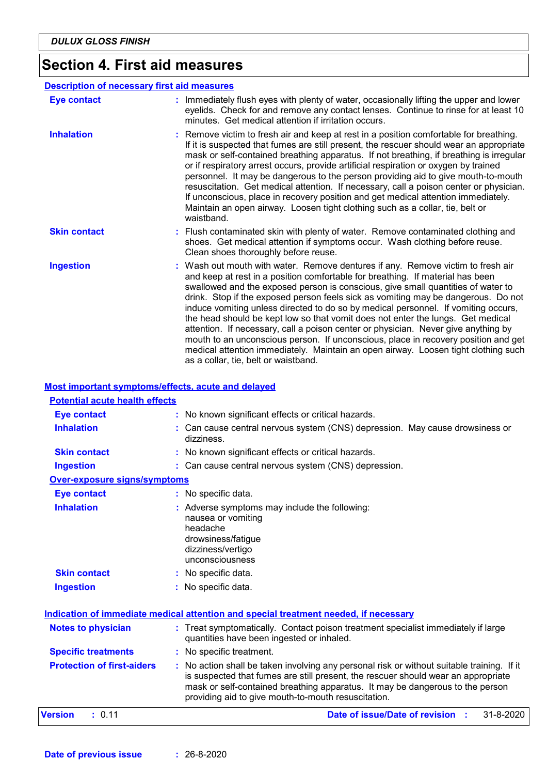# **Section 4. First aid measures**

|                     | <b>Description of necessary first aid measures</b>                                                                                                                                                                                                                                                                                                                                                                                                                                                                                                                                                                                                                                                                                                                                                                            |
|---------------------|-------------------------------------------------------------------------------------------------------------------------------------------------------------------------------------------------------------------------------------------------------------------------------------------------------------------------------------------------------------------------------------------------------------------------------------------------------------------------------------------------------------------------------------------------------------------------------------------------------------------------------------------------------------------------------------------------------------------------------------------------------------------------------------------------------------------------------|
| <b>Eye contact</b>  | : Immediately flush eyes with plenty of water, occasionally lifting the upper and lower<br>eyelids. Check for and remove any contact lenses. Continue to rinse for at least 10<br>minutes. Get medical attention if irritation occurs.                                                                                                                                                                                                                                                                                                                                                                                                                                                                                                                                                                                        |
| <b>Inhalation</b>   | : Remove victim to fresh air and keep at rest in a position comfortable for breathing.<br>If it is suspected that fumes are still present, the rescuer should wear an appropriate<br>mask or self-contained breathing apparatus. If not breathing, if breathing is irregular<br>or if respiratory arrest occurs, provide artificial respiration or oxygen by trained<br>personnel. It may be dangerous to the person providing aid to give mouth-to-mouth<br>resuscitation. Get medical attention. If necessary, call a poison center or physician.<br>If unconscious, place in recovery position and get medical attention immediately.<br>Maintain an open airway. Loosen tight clothing such as a collar, tie, belt or<br>waistband.                                                                                       |
| <b>Skin contact</b> | : Flush contaminated skin with plenty of water. Remove contaminated clothing and<br>shoes. Get medical attention if symptoms occur. Wash clothing before reuse.<br>Clean shoes thoroughly before reuse.                                                                                                                                                                                                                                                                                                                                                                                                                                                                                                                                                                                                                       |
| <b>Ingestion</b>    | : Wash out mouth with water. Remove dentures if any. Remove victim to fresh air<br>and keep at rest in a position comfortable for breathing. If material has been<br>swallowed and the exposed person is conscious, give small quantities of water to<br>drink. Stop if the exposed person feels sick as vomiting may be dangerous. Do not<br>induce vomiting unless directed to do so by medical personnel. If vomiting occurs,<br>the head should be kept low so that vomit does not enter the lungs. Get medical<br>attention. If necessary, call a poison center or physician. Never give anything by<br>mouth to an unconscious person. If unconscious, place in recovery position and get<br>medical attention immediately. Maintain an open airway. Loosen tight clothing such<br>as a collar, tie, belt or waistband. |

#### **Most important symptoms/effects, acute and delayed**

| <b>Potential acute health effects</b> |                                                                                                                                                                                                                                                                                                                         |
|---------------------------------------|-------------------------------------------------------------------------------------------------------------------------------------------------------------------------------------------------------------------------------------------------------------------------------------------------------------------------|
| Eye contact                           | : No known significant effects or critical hazards.                                                                                                                                                                                                                                                                     |
| <b>Inhalation</b>                     | : Can cause central nervous system (CNS) depression. May cause drowsiness or<br>dizziness.                                                                                                                                                                                                                              |
| <b>Skin contact</b>                   | No known significant effects or critical hazards.                                                                                                                                                                                                                                                                       |
| <b>Ingestion</b>                      | : Can cause central nervous system (CNS) depression.                                                                                                                                                                                                                                                                    |
| <b>Over-exposure signs/symptoms</b>   |                                                                                                                                                                                                                                                                                                                         |
| <b>Eye contact</b>                    | : No specific data.                                                                                                                                                                                                                                                                                                     |
| <b>Inhalation</b>                     | Adverse symptoms may include the following:<br>nausea or vomiting<br>headache<br>drowsiness/fatigue<br>dizziness/vertigo<br>unconsciousness                                                                                                                                                                             |
| <b>Skin contact</b>                   | No specific data.                                                                                                                                                                                                                                                                                                       |
| <b>Ingestion</b>                      | No specific data.                                                                                                                                                                                                                                                                                                       |
|                                       | Indication of immediate medical attention and special treatment needed, if necessary                                                                                                                                                                                                                                    |
| <b>Notes to physician</b>             | : Treat symptomatically. Contact poison treatment specialist immediately if large<br>quantities have been ingested or inhaled.                                                                                                                                                                                          |
| <b>Specific treatments</b>            | No specific treatment.                                                                                                                                                                                                                                                                                                  |
| <b>Protection of first-aiders</b>     | : No action shall be taken involving any personal risk or without suitable training. If it<br>is suspected that fumes are still present, the rescuer should wear an appropriate<br>mask or self-contained breathing apparatus. It may be dangerous to the person<br>providing aid to give mouth-to-mouth resuscitation. |
| : 0.11<br>Version                     | Date of issue/Date of revision :<br>31-8-2020                                                                                                                                                                                                                                                                           |
|                                       |                                                                                                                                                                                                                                                                                                                         |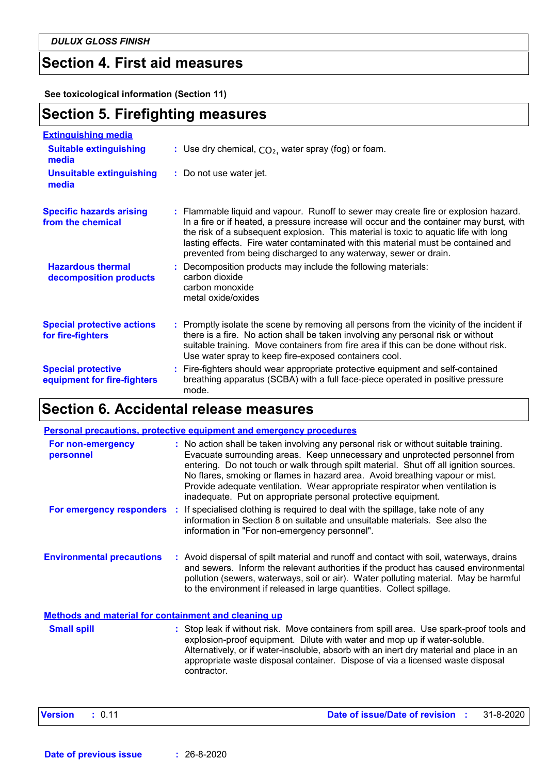*DULUX GLOSS FINISH*

### **Section 4. First aid measures**

**See toxicological information (Section 11)**

# **Section 5. Firefighting measures**

| <b>Extinguishing media</b>                               |                                                                                                                                                                                                                                                                                                                                                                                                                                  |
|----------------------------------------------------------|----------------------------------------------------------------------------------------------------------------------------------------------------------------------------------------------------------------------------------------------------------------------------------------------------------------------------------------------------------------------------------------------------------------------------------|
| <b>Suitable extinguishing</b><br>media                   | : Use dry chemical, $CO2$ , water spray (fog) or foam.                                                                                                                                                                                                                                                                                                                                                                           |
| <b>Unsuitable extinguishing</b><br>media                 | : Do not use water jet.                                                                                                                                                                                                                                                                                                                                                                                                          |
| <b>Specific hazards arising</b><br>from the chemical     | : Flammable liquid and vapour. Runoff to sewer may create fire or explosion hazard.<br>In a fire or if heated, a pressure increase will occur and the container may burst, with<br>the risk of a subsequent explosion. This material is toxic to aquatic life with long<br>lasting effects. Fire water contaminated with this material must be contained and<br>prevented from being discharged to any waterway, sewer or drain. |
| <b>Hazardous thermal</b><br>decomposition products       | : Decomposition products may include the following materials:<br>carbon dioxide<br>carbon monoxide<br>metal oxide/oxides                                                                                                                                                                                                                                                                                                         |
| <b>Special protective actions</b><br>for fire-fighters   | : Promptly isolate the scene by removing all persons from the vicinity of the incident if<br>there is a fire. No action shall be taken involving any personal risk or without<br>suitable training. Move containers from fire area if this can be done without risk.<br>Use water spray to keep fire-exposed containers cool.                                                                                                    |
| <b>Special protective</b><br>equipment for fire-fighters | : Fire-fighters should wear appropriate protective equipment and self-contained<br>breathing apparatus (SCBA) with a full face-piece operated in positive pressure<br>mode.                                                                                                                                                                                                                                                      |

# **Section 6. Accidental release measures**

|                                                             | <b>Personal precautions, protective equipment and emergency procedures</b>                                                                                                                                                                                                                                                                                                                                                                                                                     |
|-------------------------------------------------------------|------------------------------------------------------------------------------------------------------------------------------------------------------------------------------------------------------------------------------------------------------------------------------------------------------------------------------------------------------------------------------------------------------------------------------------------------------------------------------------------------|
| For non-emergency<br>personnel                              | : No action shall be taken involving any personal risk or without suitable training.<br>Evacuate surrounding areas. Keep unnecessary and unprotected personnel from<br>entering. Do not touch or walk through spilt material. Shut off all ignition sources.<br>No flares, smoking or flames in hazard area. Avoid breathing vapour or mist.<br>Provide adequate ventilation. Wear appropriate respirator when ventilation is<br>inadequate. Put on appropriate personal protective equipment. |
|                                                             | <b>For emergency responders</b> : If specialised clothing is required to deal with the spillage, take note of any<br>information in Section 8 on suitable and unsuitable materials. See also the<br>information in "For non-emergency personnel".                                                                                                                                                                                                                                              |
| <b>Environmental precautions</b>                            | : Avoid dispersal of spilt material and runoff and contact with soil, waterways, drains<br>and sewers. Inform the relevant authorities if the product has caused environmental<br>pollution (sewers, waterways, soil or air). Water polluting material. May be harmful<br>to the environment if released in large quantities. Collect spillage.                                                                                                                                                |
| <b>Methods and material for containment and cleaning up</b> |                                                                                                                                                                                                                                                                                                                                                                                                                                                                                                |
| <b>Small spill</b>                                          | : Stop leak if without risk. Move containers from spill area. Use spark-proof tools and<br>explosion-proof equipment. Dilute with water and mop up if water-soluble.<br>Alternatively, or if water-insoluble, absorb with an inert dry material and place in an<br>appropriate waste disposal container. Dispose of via a licensed waste disposal<br>contractor.                                                                                                                               |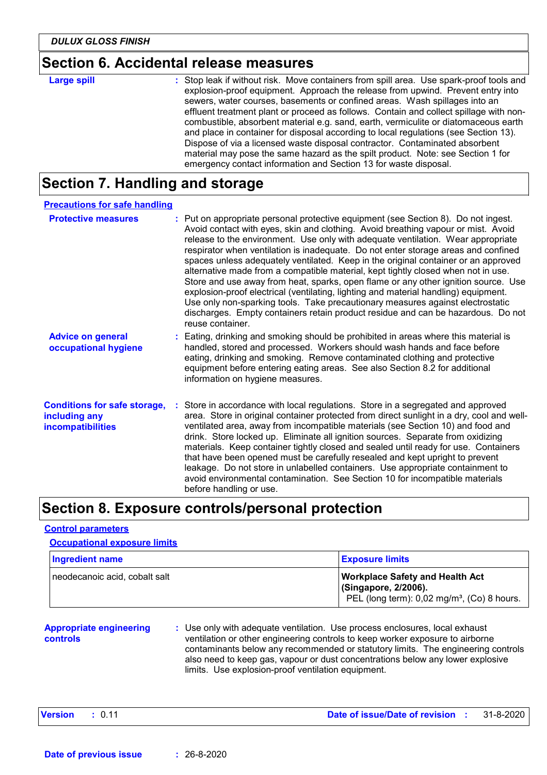### **Section 6. Accidental release measures**

| <b>Large spill</b> | : Stop leak if without risk. Move containers from spill area. Use spark-proof tools and<br>explosion-proof equipment. Approach the release from upwind. Prevent entry into<br>sewers, water courses, basements or confined areas. Wash spillages into an<br>effluent treatment plant or proceed as follows. Contain and collect spillage with non-<br>combustible, absorbent material e.g. sand, earth, vermiculite or diatomaceous earth<br>and place in container for disposal according to local regulations (see Section 13).<br>Dispose of via a licensed waste disposal contractor. Contaminated absorbent |
|--------------------|------------------------------------------------------------------------------------------------------------------------------------------------------------------------------------------------------------------------------------------------------------------------------------------------------------------------------------------------------------------------------------------------------------------------------------------------------------------------------------------------------------------------------------------------------------------------------------------------------------------|
|                    | material may pose the same hazard as the spilt product. Note: see Section 1 for                                                                                                                                                                                                                                                                                                                                                                                                                                                                                                                                  |
|                    | emergency contact information and Section 13 for waste disposal.                                                                                                                                                                                                                                                                                                                                                                                                                                                                                                                                                 |

# **Section 7. Handling and storage**

| <b>Precautions for safe handling</b>                                      |                                                                                                                                                                                                                                                                                                                                                                                                                                                                                                                                                                                                                                                                                                                                                                                                                                                                                                     |
|---------------------------------------------------------------------------|-----------------------------------------------------------------------------------------------------------------------------------------------------------------------------------------------------------------------------------------------------------------------------------------------------------------------------------------------------------------------------------------------------------------------------------------------------------------------------------------------------------------------------------------------------------------------------------------------------------------------------------------------------------------------------------------------------------------------------------------------------------------------------------------------------------------------------------------------------------------------------------------------------|
| <b>Protective measures</b>                                                | : Put on appropriate personal protective equipment (see Section 8). Do not ingest.<br>Avoid contact with eyes, skin and clothing. Avoid breathing vapour or mist. Avoid<br>release to the environment. Use only with adequate ventilation. Wear appropriate<br>respirator when ventilation is inadequate. Do not enter storage areas and confined<br>spaces unless adequately ventilated. Keep in the original container or an approved<br>alternative made from a compatible material, kept tightly closed when not in use.<br>Store and use away from heat, sparks, open flame or any other ignition source. Use<br>explosion-proof electrical (ventilating, lighting and material handling) equipment.<br>Use only non-sparking tools. Take precautionary measures against electrostatic<br>discharges. Empty containers retain product residue and can be hazardous. Do not<br>reuse container. |
| <b>Advice on general</b><br>occupational hygiene                          | : Eating, drinking and smoking should be prohibited in areas where this material is<br>handled, stored and processed. Workers should wash hands and face before<br>eating, drinking and smoking. Remove contaminated clothing and protective<br>equipment before entering eating areas. See also Section 8.2 for additional<br>information on hygiene measures.                                                                                                                                                                                                                                                                                                                                                                                                                                                                                                                                     |
| <b>Conditions for safe storage,</b><br>including any<br>incompatibilities | : Store in accordance with local regulations. Store in a segregated and approved<br>area. Store in original container protected from direct sunlight in a dry, cool and well-<br>ventilated area, away from incompatible materials (see Section 10) and food and<br>drink. Store locked up. Eliminate all ignition sources. Separate from oxidizing<br>materials. Keep container tightly closed and sealed until ready for use. Containers<br>that have been opened must be carefully resealed and kept upright to prevent<br>leakage. Do not store in unlabelled containers. Use appropriate containment to<br>avoid environmental contamination. See Section 10 for incompatible materials<br>before handling or use.                                                                                                                                                                             |

## **Section 8. Exposure controls/personal protection**

### **Control parameters**

### **Occupational exposure limits**

| Ingredient name               | <b>Exposure limits</b>                                                                                                    |  |  |
|-------------------------------|---------------------------------------------------------------------------------------------------------------------------|--|--|
| neodecanoic acid, cobalt salt | <b>Workplace Safety and Health Act</b><br>(Singapore, 2/2006).<br>PEL (long term): 0,02 mg/m <sup>3</sup> , (Co) 8 hours. |  |  |

### **Appropriate engineering controls**

**:** Use only with adequate ventilation. Use process enclosures, local exhaust ventilation or other engineering controls to keep worker exposure to airborne contaminants below any recommended or statutory limits. The engineering controls also need to keep gas, vapour or dust concentrations below any lower explosive limits. Use explosion-proof ventilation equipment.

| Date of issue/Date of revision<br>Version : 0.11<br>31-8-2020! |
|----------------------------------------------------------------|
|----------------------------------------------------------------|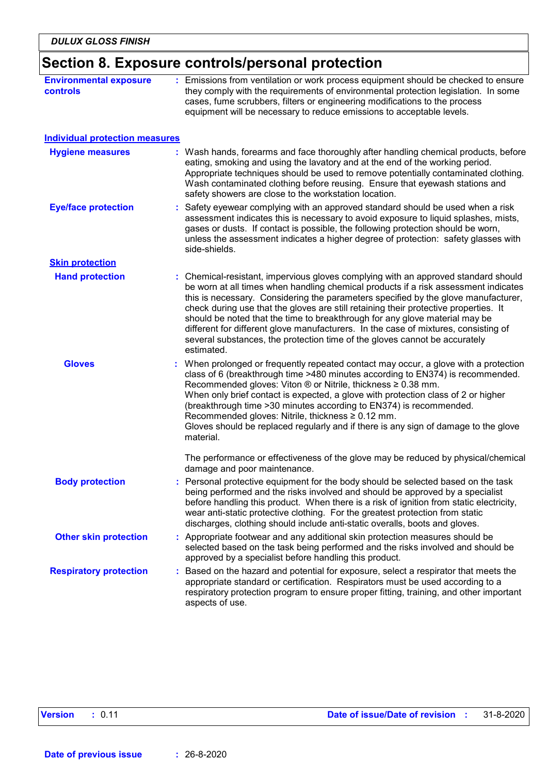# **Section 8. Exposure controls/personal protection**

| <b>Environmental exposure</b><br>controls | : Emissions from ventilation or work process equipment should be checked to ensure<br>they comply with the requirements of environmental protection legislation. In some<br>cases, fume scrubbers, filters or engineering modifications to the process<br>equipment will be necessary to reduce emissions to acceptable levels.                                                                                                                                                                                                                                                                                           |  |  |  |
|-------------------------------------------|---------------------------------------------------------------------------------------------------------------------------------------------------------------------------------------------------------------------------------------------------------------------------------------------------------------------------------------------------------------------------------------------------------------------------------------------------------------------------------------------------------------------------------------------------------------------------------------------------------------------------|--|--|--|
| <b>Individual protection measures</b>     |                                                                                                                                                                                                                                                                                                                                                                                                                                                                                                                                                                                                                           |  |  |  |
| <b>Hygiene measures</b>                   | : Wash hands, forearms and face thoroughly after handling chemical products, before<br>eating, smoking and using the lavatory and at the end of the working period.<br>Appropriate techniques should be used to remove potentially contaminated clothing.<br>Wash contaminated clothing before reusing. Ensure that eyewash stations and<br>safety showers are close to the workstation location.                                                                                                                                                                                                                         |  |  |  |
| <b>Eye/face protection</b>                | : Safety eyewear complying with an approved standard should be used when a risk<br>assessment indicates this is necessary to avoid exposure to liquid splashes, mists,<br>gases or dusts. If contact is possible, the following protection should be worn,<br>unless the assessment indicates a higher degree of protection: safety glasses with<br>side-shields.                                                                                                                                                                                                                                                         |  |  |  |
| <b>Skin protection</b>                    |                                                                                                                                                                                                                                                                                                                                                                                                                                                                                                                                                                                                                           |  |  |  |
| <b>Hand protection</b>                    | : Chemical-resistant, impervious gloves complying with an approved standard should<br>be worn at all times when handling chemical products if a risk assessment indicates<br>this is necessary. Considering the parameters specified by the glove manufacturer,<br>check during use that the gloves are still retaining their protective properties. It<br>should be noted that the time to breakthrough for any glove material may be<br>different for different glove manufacturers. In the case of mixtures, consisting of<br>several substances, the protection time of the gloves cannot be accurately<br>estimated. |  |  |  |
| <b>Gloves</b>                             | When prolonged or frequently repeated contact may occur, a glove with a protection<br>class of 6 (breakthrough time >480 minutes according to EN374) is recommended.<br>Recommended gloves: Viton $\circledR$ or Nitrile, thickness $\geq 0.38$ mm.<br>When only brief contact is expected, a glove with protection class of 2 or higher<br>(breakthrough time > 30 minutes according to EN374) is recommended.<br>Recommended gloves: Nitrile, thickness $\geq 0.12$ mm.<br>Gloves should be replaced regularly and if there is any sign of damage to the glove<br>material.                                             |  |  |  |
|                                           | The performance or effectiveness of the glove may be reduced by physical/chemical<br>damage and poor maintenance.                                                                                                                                                                                                                                                                                                                                                                                                                                                                                                         |  |  |  |
| <b>Body protection</b>                    | Personal protective equipment for the body should be selected based on the task<br>being performed and the risks involved and should be approved by a specialist<br>before handling this product. When there is a risk of ignition from static electricity,<br>wear anti-static protective clothing. For the greatest protection from static<br>discharges, clothing should include anti-static overalls, boots and gloves.                                                                                                                                                                                               |  |  |  |
| <b>Other skin protection</b>              | : Appropriate footwear and any additional skin protection measures should be<br>selected based on the task being performed and the risks involved and should be<br>approved by a specialist before handling this product.                                                                                                                                                                                                                                                                                                                                                                                                 |  |  |  |
| <b>Respiratory protection</b>             | : Based on the hazard and potential for exposure, select a respirator that meets the<br>appropriate standard or certification. Respirators must be used according to a<br>respiratory protection program to ensure proper fitting, training, and other important<br>aspects of use.                                                                                                                                                                                                                                                                                                                                       |  |  |  |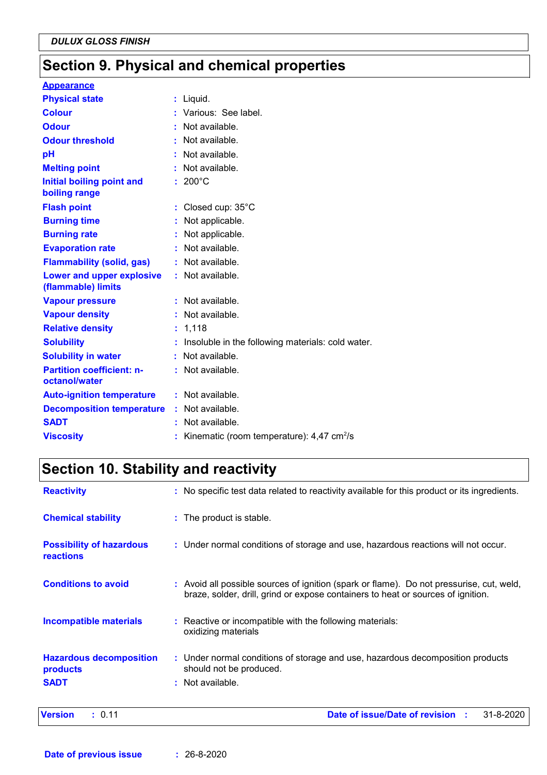## **Section 9. Physical and chemical properties**

| <b>Appearance</b>                                 |                                                         |
|---------------------------------------------------|---------------------------------------------------------|
| <b>Physical state</b>                             | : Liquid.                                               |
| <b>Colour</b>                                     | : Various: See label.                                   |
| <b>Odour</b>                                      | : Not available.                                        |
| <b>Odour threshold</b>                            | Not available.                                          |
| pH                                                | Not available.                                          |
| <b>Melting point</b>                              | Not available.                                          |
| <b>Initial boiling point and</b><br>boiling range | $: 200^{\circ}$ C                                       |
| <b>Flash point</b>                                | : Closed cup: $35^{\circ}$ C                            |
| <b>Burning time</b>                               | Not applicable.                                         |
| <b>Burning rate</b>                               | Not applicable.                                         |
| <b>Evaporation rate</b>                           | : Not available.                                        |
| <b>Flammability (solid, gas)</b>                  | : Not available.                                        |
| Lower and upper explosive<br>(flammable) limits   | : Not available.                                        |
| <b>Vapour pressure</b>                            | : Not available.                                        |
| <b>Vapour density</b>                             | : Not available.                                        |
| <b>Relative density</b>                           | : 1,118                                                 |
| <b>Solubility</b>                                 | Insoluble in the following materials: cold water.       |
| <b>Solubility in water</b>                        | : Not available.                                        |
| <b>Partition coefficient: n-</b><br>octanol/water | : Not available.                                        |
| <b>Auto-ignition temperature</b>                  | : Not available.                                        |
| <b>Decomposition temperature</b>                  | Not available.                                          |
| <b>SADT</b>                                       | Not available.                                          |
| <b>Viscosity</b>                                  | Kinematic (room temperature): $4,47$ cm <sup>2</sup> /s |

# **Section 10. Stability and reactivity**

| <b>Version</b><br>: 0.11                            | Date of issue/Date of revision :<br>31-8-2020                                                                                                                                |
|-----------------------------------------------------|------------------------------------------------------------------------------------------------------------------------------------------------------------------------------|
| <b>SADT</b>                                         | : Not available.                                                                                                                                                             |
| <b>Hazardous decomposition</b><br>products          | : Under normal conditions of storage and use, hazardous decomposition products<br>should not be produced.                                                                    |
| <b>Incompatible materials</b>                       | : Reactive or incompatible with the following materials:<br>oxidizing materials                                                                                              |
| <b>Conditions to avoid</b>                          | : Avoid all possible sources of ignition (spark or flame). Do not pressurise, cut, weld,<br>braze, solder, drill, grind or expose containers to heat or sources of ignition. |
| <b>Possibility of hazardous</b><br><b>reactions</b> | : Under normal conditions of storage and use, hazardous reactions will not occur.                                                                                            |
| <b>Chemical stability</b>                           | : The product is stable.                                                                                                                                                     |
| <b>Reactivity</b>                                   | : No specific test data related to reactivity available for this product or its ingredients.                                                                                 |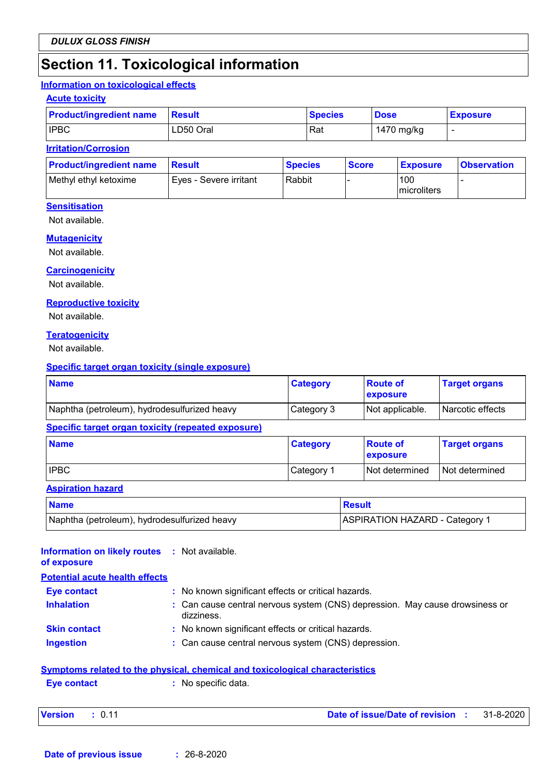### **Section 11. Toxicological information**

#### **Information on toxicological effects**

#### **Acute toxicity**

| <b>Product/ingredient name</b> | <b>Result</b> | <b>Species</b> | <b>Dose</b> | <b>Exposure</b> |
|--------------------------------|---------------|----------------|-------------|-----------------|
| <b>IPBC</b>                    | LD50 Oral     | Rat            | 1470 mg/kg  |                 |

#### **Irritation/Corrosion**

| <b>Product/ingredient name</b> | <b>Besult</b>          | <b>Species</b> | <b>Score</b> | <b>Exposure</b>     | <b>Observation</b> |
|--------------------------------|------------------------|----------------|--------------|---------------------|--------------------|
| Methyl ethyl ketoxime          | Eves - Severe irritant | Rabbit         |              | 100<br>Imicroliters |                    |

#### **Sensitisation**

Not available.

#### **Mutagenicity**

Not available.

#### **Carcinogenicity**

Not available.

#### **Reproductive toxicity**

Not available.

#### **Teratogenicity**

Not available.

#### **Specific target organ toxicity (single exposure)**

| <b>Name</b>                                  | <b>Category</b> | <b>Route of</b><br><b>exposure</b> | <b>Target organs</b> |
|----------------------------------------------|-----------------|------------------------------------|----------------------|
| Naphtha (petroleum), hydrodesulfurized heavy | Category 3      | Not applicable.                    | Narcotic effects     |

#### **Specific target organ toxicity (repeated exposure)**

| <b>Name</b> | <b>Category</b> | <b>Route of</b><br><b>Lexposure</b> | <b>Target organs</b> |
|-------------|-----------------|-------------------------------------|----------------------|
| <b>IPBC</b> | Category 1      | Not determined                      | Not determined       |

#### **Aspiration hazard**

| <b>Name</b>                                  | <b>Result</b>                  |
|----------------------------------------------|--------------------------------|
| Naphtha (petroleum), hydrodesulfurized heavy | ASPIRATION HAZARD - Category 1 |

#### **Information on likely routes :** Not available. **of exposure**

### **Eye contact :** No known significant effects or critical hazards. **Potential acute health effects**

| <b>Inhalation</b> | : Can cause central nervous system (CNS) depression. May cause drowsiness or<br>dizziness. |  |
|-------------------|--------------------------------------------------------------------------------------------|--|
| Skin contact      | : No known significant effects or critical hazards.                                        |  |

**Ingestion by Can cause central nervous system (CNS) depression.** 

#### **Symptoms related to the physical, chemical and toxicological characteristics**

```
Eye contact : No specific data.
```

| <b>Version</b> | Date of issue/Date of revision | 31-8-2020! |  |
|----------------|--------------------------------|------------|--|
|                |                                |            |  |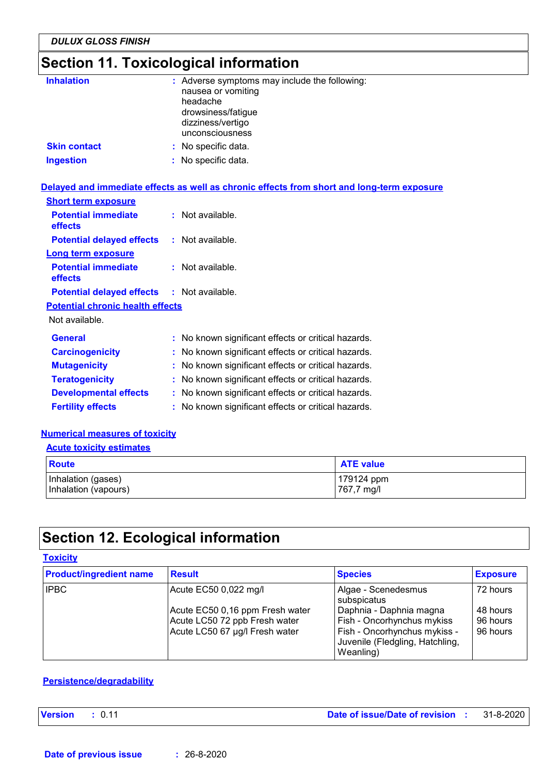# **Section 11. Toxicological information**

| <b>Inhalation</b>   | : Adverse symptoms may include the following:<br>nausea or vomiting<br>headache<br>drowsiness/fatigue<br>dizziness/vertigo<br>unconsciousness |
|---------------------|-----------------------------------------------------------------------------------------------------------------------------------------------|
| <b>Skin contact</b> | : No specific data.                                                                                                                           |
| <b>Ingestion</b>    | : No specific data.                                                                                                                           |

### **Delayed and immediate effects as well as chronic effects from short and long-term exposure**

| <b>Short term exposure</b>                        |                                                     |
|---------------------------------------------------|-----------------------------------------------------|
| <b>Potential immediate</b><br>effects             | $:$ Not available.                                  |
| <b>Potential delayed effects</b>                  | $:$ Not available.                                  |
| Long term exposure                                |                                                     |
| <b>Potential immediate</b><br>effects             | $:$ Not available.                                  |
| <b>Potential delayed effects : Not available.</b> |                                                     |
| <b>Potential chronic health effects</b>           |                                                     |
| Not available.                                    |                                                     |
| <b>General</b>                                    | : No known significant effects or critical hazards. |
| <b>Carcinogenicity</b>                            | : No known significant effects or critical hazards. |
| <b>Mutagenicity</b>                               | : No known significant effects or critical hazards. |
| <b>Teratogenicity</b>                             | : No known significant effects or critical hazards. |
| <b>Developmental effects</b>                      | : No known significant effects or critical hazards. |
| <b>Fertility effects</b>                          | : No known significant effects or critical hazards. |
|                                                   |                                                     |

### **Numerical measures of toxicity**

**Acute toxicity estimates**

| Route                | <b>ATE value</b> |
|----------------------|------------------|
| Inhalation (gases)   | 179124 ppm       |
| Inhalation (vapours) | 767,7 mg/l       |

# **Section 12. Ecological information**

### **Toxicity**

| <b>Product/ingredient name</b> | <b>Result</b>                                                                                      | <b>Species</b>                                                                                                                        | <b>Exposure</b>                  |
|--------------------------------|----------------------------------------------------------------------------------------------------|---------------------------------------------------------------------------------------------------------------------------------------|----------------------------------|
| <b>IPBC</b>                    | Acute EC50 0,022 mg/l                                                                              | Algae - Scenedesmus<br>subspicatus                                                                                                    | 72 hours                         |
|                                | Acute EC50 0,16 ppm Fresh water<br>Acute LC50 72 ppb Fresh water<br>Acute LC50 67 µg/l Fresh water | Daphnia - Daphnia magna<br>Fish - Oncorhynchus mykiss<br>Fish - Oncorhynchus mykiss -<br>Juvenile (Fledgling, Hatchling,<br>Weanling) | 48 hours<br>96 hours<br>96 hours |

### **Persistence/degradability**

**Version :** 0.11 **Date of issue/Date of revision :** 31-8-2020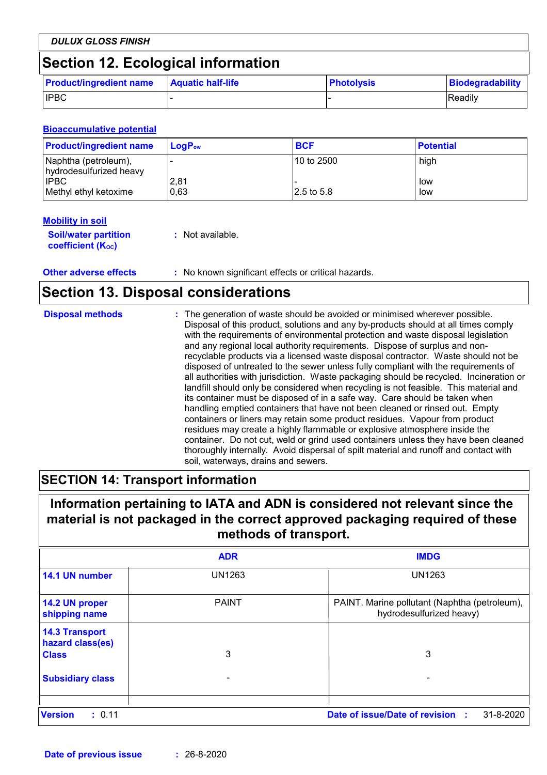| <b>DULUX GLOSS FINISH</b>          |                          |                   |                         |
|------------------------------------|--------------------------|-------------------|-------------------------|
| Section 12. Ecological information |                          |                   |                         |
| <b>Product/ingredient name</b>     | <b>Aquatic half-life</b> | <b>Photolysis</b> | <b>Biodegradability</b> |
| <b>IPBC</b>                        |                          |                   | Readily                 |

#### **Bioaccumulative potential**

| <b>Product/ingredient name</b>                  | $LogP_{ow}$  | <b>BCF</b>  | <b>Potential</b> |
|-------------------------------------------------|--------------|-------------|------------------|
| Naphtha (petroleum),<br>hydrodesulfurized heavy |              | l10 to 2500 | high             |
| <b>IPBC</b><br>Methyl ethyl ketoxime            | 2,81<br>0.63 | 2.5 to 5.8  | low<br>low       |

#### **Mobility in soil**

| <b>Soil/water partition</b> | : Not available. |
|-----------------------------|------------------|
| <b>coefficient (Koc)</b>    |                  |

**Other adverse effects** : No known significant effects or critical hazards.

### **Section 13. Disposal considerations**

| <b>Disposal methods</b> | : The generation of waste should be avoided or minimised wherever possible.<br>Disposal of this product, solutions and any by-products should at all times comply<br>with the requirements of environmental protection and waste disposal legislation<br>and any regional local authority requirements. Dispose of surplus and non-<br>recyclable products via a licensed waste disposal contractor. Waste should not be<br>disposed of untreated to the sewer unless fully compliant with the requirements of<br>all authorities with jurisdiction. Waste packaging should be recycled. Incineration or<br>landfill should only be considered when recycling is not feasible. This material and<br>its container must be disposed of in a safe way. Care should be taken when<br>handling emptied containers that have not been cleaned or rinsed out. Empty<br>containers or liners may retain some product residues. Vapour from product<br>residues may create a highly flammable or explosive atmosphere inside the<br>container. Do not cut, weld or grind used containers unless they have been cleaned<br>thoroughly internally. Avoid dispersal of spilt material and runoff and contact with |
|-------------------------|--------------------------------------------------------------------------------------------------------------------------------------------------------------------------------------------------------------------------------------------------------------------------------------------------------------------------------------------------------------------------------------------------------------------------------------------------------------------------------------------------------------------------------------------------------------------------------------------------------------------------------------------------------------------------------------------------------------------------------------------------------------------------------------------------------------------------------------------------------------------------------------------------------------------------------------------------------------------------------------------------------------------------------------------------------------------------------------------------------------------------------------------------------------------------------------------------------|
|                         | soil, waterways, drains and sewers.                                                                                                                                                                                                                                                                                                                                                                                                                                                                                                                                                                                                                                                                                                                                                                                                                                                                                                                                                                                                                                                                                                                                                                    |

### **SECTION 14: Transport information**

### **Information pertaining to IATA and ADN is considered not relevant since the material is not packaged in the correct approved packaging required of these methods of transport.**

|                                                           | <b>ADR</b>    | <b>IMDG</b>                                                               |
|-----------------------------------------------------------|---------------|---------------------------------------------------------------------------|
| 14.1 UN number                                            | <b>UN1263</b> | <b>UN1263</b>                                                             |
| 14.2 UN proper<br>shipping name                           | <b>PAINT</b>  | PAINT. Marine pollutant (Naphtha (petroleum),<br>hydrodesulfurized heavy) |
| <b>14.3 Transport</b><br>hazard class(es)<br><b>Class</b> | 3             | 3                                                                         |
| <b>Subsidiary class</b>                                   |               |                                                                           |
| <b>Version</b><br>: 0.11                                  |               | Date of issue/Date of revision :<br>31-8-2020                             |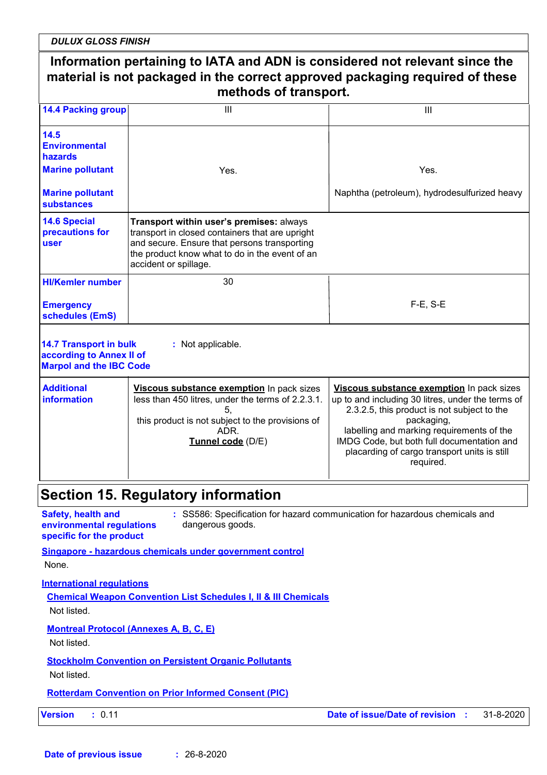*DULUX GLOSS FINISH*

|                                                                             | Information pertaining to IATA and ADN is considered not relevant since the<br>material is not packaged in the correct approved packaging required of these<br>methods of transport.                                   |                                                                                                                                                                                                                                                                        |
|-----------------------------------------------------------------------------|------------------------------------------------------------------------------------------------------------------------------------------------------------------------------------------------------------------------|------------------------------------------------------------------------------------------------------------------------------------------------------------------------------------------------------------------------------------------------------------------------|
| <b>14.4 Packing group</b>                                                   | III                                                                                                                                                                                                                    | Ш                                                                                                                                                                                                                                                                      |
| 14.5<br><b>Environmental</b><br>hazards                                     |                                                                                                                                                                                                                        |                                                                                                                                                                                                                                                                        |
| <b>Marine pollutant</b>                                                     | Yes.                                                                                                                                                                                                                   | Yes.                                                                                                                                                                                                                                                                   |
| <b>Marine pollutant</b><br><b>substances</b>                                |                                                                                                                                                                                                                        | Naphtha (petroleum), hydrodesulfurized heavy                                                                                                                                                                                                                           |
| <b>14.6 Special</b><br>precautions for<br>user                              | Transport within user's premises: always<br>transport in closed containers that are upright<br>and secure. Ensure that persons transporting<br>the product know what to do in the event of an<br>accident or spillage. |                                                                                                                                                                                                                                                                        |
| <b>HI/Kemler number</b>                                                     | 30                                                                                                                                                                                                                     |                                                                                                                                                                                                                                                                        |
| <b>Emergency</b><br>schedules (EmS)                                         |                                                                                                                                                                                                                        | $F-E$ , S-E                                                                                                                                                                                                                                                            |
| information                                                                 | less than 450 litres, under the terms of 2.2.3.1.<br>5,<br>this product is not subject to the provisions of<br>ADR.<br>Tunnel code (D/E)                                                                               | up to and including 30 litres, under the terms of<br>2.3.2.5, this product is not subject to the<br>packaging,<br>labelling and marking requirements of the<br>IMDG Code, but both full documentation and<br>placarding of cargo transport units is still<br>required. |
|                                                                             | <b>Section 15. Regulatory information</b>                                                                                                                                                                              |                                                                                                                                                                                                                                                                        |
| Safety, health and<br>environmental regulations<br>specific for the product | dangerous goods.<br>Singapore - hazardous chemicals under government control                                                                                                                                           | : SS586: Specification for hazard communication for hazardous chemicals and                                                                                                                                                                                            |
| None.<br><b>International regulations</b>                                   |                                                                                                                                                                                                                        |                                                                                                                                                                                                                                                                        |
| Not listed.                                                                 | <b>Chemical Weapon Convention List Schedules I, II &amp; III Chemicals</b>                                                                                                                                             |                                                                                                                                                                                                                                                                        |
| Not listed.                                                                 | <b>Montreal Protocol (Annexes A, B, C, E)</b>                                                                                                                                                                          |                                                                                                                                                                                                                                                                        |
| Not listed.                                                                 | <b>Stockholm Convention on Persistent Organic Pollutants</b>                                                                                                                                                           |                                                                                                                                                                                                                                                                        |
|                                                                             | <b>Rotterdam Convention on Prior Informed Consent (PIC)</b>                                                                                                                                                            |                                                                                                                                                                                                                                                                        |
| <b>Version</b><br>: 0.11                                                    |                                                                                                                                                                                                                        | Date of issue/Date of revision :<br>31-8-2020                                                                                                                                                                                                                          |